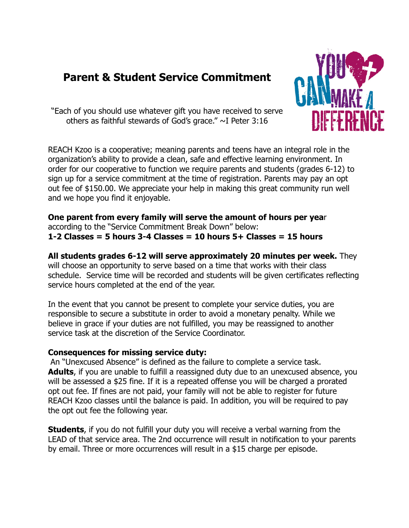# **Parent & Student Service Commitment**



"Each of you should use whatever gift you have received to serve others as faithful stewards of God's grace."  $\sim$ I Peter 3:16

REACH Kzoo is a cooperative; meaning parents and teens have an integral role in the organization's ability to provide a clean, safe and effective learning environment. In order for our cooperative to function we require parents and students (grades 6-12) to sign up for a service commitment at the time of registration. Parents may pay an opt out fee of \$150.00. We appreciate your help in making this great community run well and we hope you find it enjoyable.

**One parent from every family will serve the amount of hours per yea**r according to the "Service Commitment Break Down" below: **1-2 Classes = 5 hours 3-4 Classes = 10 hours 5+ Classes = 15 hours**

**All students grades 6-12 will serve approximately 20 minutes per week.** They will choose an opportunity to serve based on a time that works with their class schedule. Service time will be recorded and students will be given certificates reflecting service hours completed at the end of the year.

In the event that you cannot be present to complete your service duties, you are responsible to secure a substitute in order to avoid a monetary penalty. While we believe in grace if your duties are not fulfilled, you may be reassigned to another service task at the discretion of the Service Coordinator.

#### **Consequences for missing service duty:**

An "Unexcused Absence" is defined as the failure to complete a service task. **Adults**, if you are unable to fulfill a reassigned duty due to an unexcused absence, you will be assessed a \$25 fine. If it is a repeated offense you will be charged a prorated opt out fee. If fines are not paid, your family will not be able to register for future REACH Kzoo classes until the balance is paid. In addition, you will be required to pay the opt out fee the following year.

**Students**, if you do not fulfill your duty you will receive a verbal warning from the LEAD of that service area. The 2nd occurrence will result in notification to your parents by email. Three or more occurrences will result in a \$15 charge per episode.